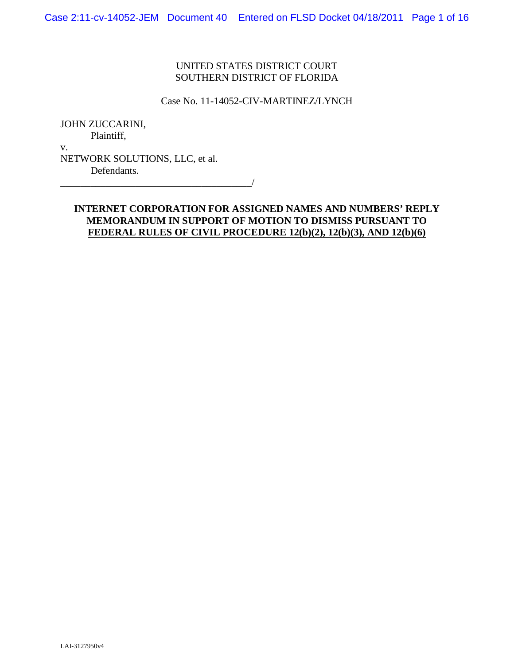## UNITED STATES DISTRICT COURT SOUTHERN DISTRICT OF FLORIDA

#### Case No. 11-14052-CIV-MARTINEZ/LYNCH

JOHN ZUCCARINI, Plaintiff, v.

NETWORK SOLUTIONS, LLC, et al. Defendants.

## **INTERNET CORPORATION FOR ASSIGNED NAMES AND NUMBERS' REPLY MEMORANDUM IN SUPPORT OF MOTION TO DISMISS PURSUANT TO FEDERAL RULES OF CIVIL PROCEDURE 12(b)(2), 12(b)(3), AND 12(b)(6)**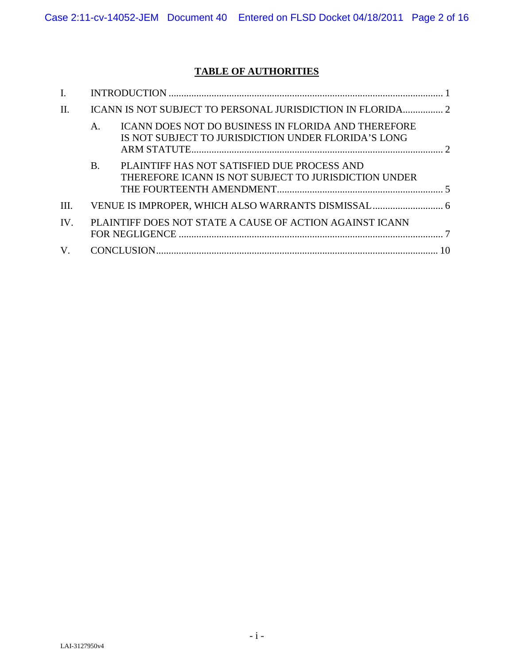# **TABLE OF AUTHORITIES**

| II.                   |                                                          |                                                                                                                   |  |
|-----------------------|----------------------------------------------------------|-------------------------------------------------------------------------------------------------------------------|--|
|                       | $\mathsf{A}$ .                                           | <b>ICANN DOES NOT DO BUSINESS IN FLORIDA AND THEREFORE</b><br>IS NOT SUBJECT TO JURISDICTION UNDER FLORIDA'S LONG |  |
|                       | <b>B.</b>                                                | PLAINTIFF HAS NOT SATISFIED DUE PROCESS AND<br>THEREFORE ICANN IS NOT SUBJECT TO JURISDICTION UNDER               |  |
| Ш.                    |                                                          |                                                                                                                   |  |
| $\mathbf{IV}_{\cdot}$ | PLAINTIFF DOES NOT STATE A CAUSE OF ACTION AGAINST ICANN |                                                                                                                   |  |
| $V_{\cdot}$           |                                                          |                                                                                                                   |  |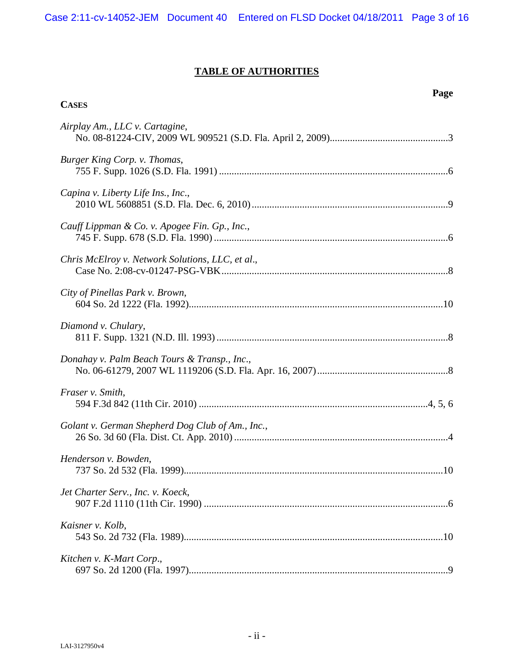Case 2:11-cv-14052-JEM Document 40 Entered on FLSD Docket 04/18/2011 Page 3 of 16

# **TABLE OF AUTHORITIES**

**Page**

| Airplay Am., LLC v. Cartagine,                   |  |
|--------------------------------------------------|--|
| Burger King Corp. v. Thomas,                     |  |
| Capina v. Liberty Life Ins., Inc.,               |  |
| Cauff Lippman & Co. v. Apogee Fin. Gp., Inc.,    |  |
| Chris McElroy v. Network Solutions, LLC, et al., |  |
| City of Pinellas Park v. Brown,                  |  |
| Diamond v. Chulary,                              |  |
| Donahay v. Palm Beach Tours & Transp., Inc.,     |  |
| Fraser v. Smith,                                 |  |
| Golant v. German Shepherd Dog Club of Am., Inc., |  |
| Henderson v. Bowden,                             |  |
| Jet Charter Serv., Inc. v. Koeck,                |  |
| Kaisner v. Kolb,                                 |  |
| Kitchen v. K-Mart Corp.,                         |  |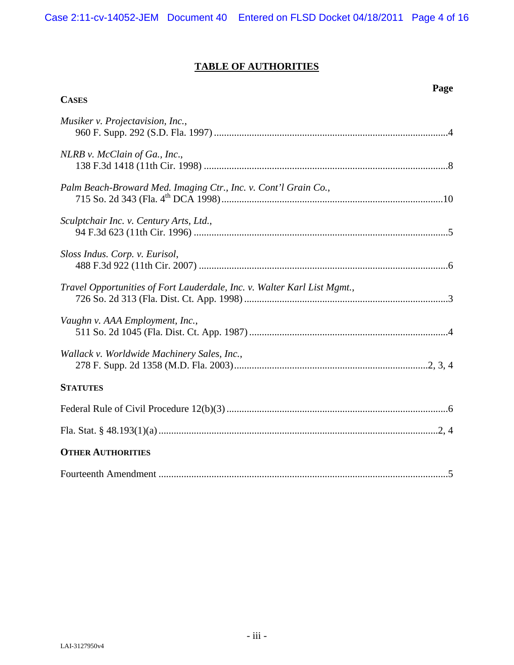## **TABLE OF AUTHORITIES**

**Page**

**CASES**

| Musiker v. Projectavision, Inc.,                                         |
|--------------------------------------------------------------------------|
| NLRB v. McClain of Ga., Inc.,                                            |
| Palm Beach-Broward Med. Imaging Ctr., Inc. v. Cont'l Grain Co.,          |
| Sculptchair Inc. v. Century Arts, Ltd.,                                  |
| Sloss Indus. Corp. v. Eurisol,                                           |
| Travel Opportunities of Fort Lauderdale, Inc. v. Walter Karl List Mgmt., |
| Vaughn v. AAA Employment, Inc.,                                          |
| Wallack v. Worldwide Machinery Sales, Inc.,                              |
| <b>STATUTES</b>                                                          |
|                                                                          |
|                                                                          |
| <b>OTHER AUTHORITIES</b>                                                 |
|                                                                          |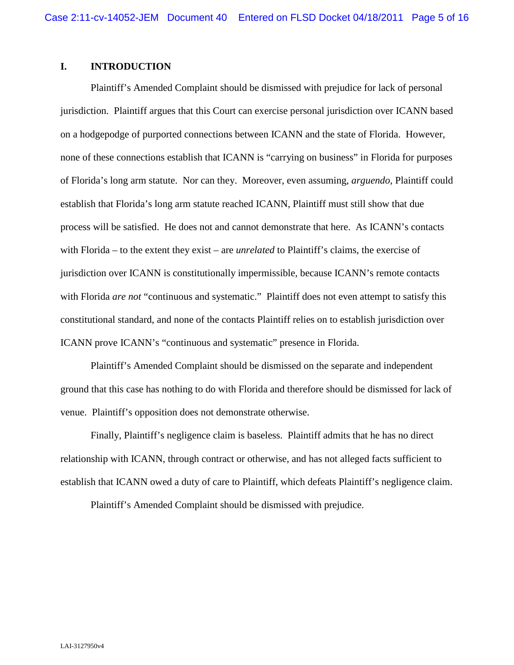## **I. INTRODUCTION**

Plaintiff's Amended Complaint should be dismissed with prejudice for lack of personal jurisdiction. Plaintiff argues that this Court can exercise personal jurisdiction over ICANN based on a hodgepodge of purported connections between ICANN and the state of Florida. However, none of these connections establish that ICANN is "carrying on business" in Florida for purposes of Florida's long arm statute. Nor can they. Moreover, even assuming, *arguendo*, Plaintiff could establish that Florida's long arm statute reached ICANN, Plaintiff must still show that due process will be satisfied. He does not and cannot demonstrate that here. As ICANN's contacts with Florida – to the extent they exist – are *unrelated* to Plaintiff's claims, the exercise of jurisdiction over ICANN is constitutionally impermissible, because ICANN's remote contacts with Florida *are not* "continuous and systematic." Plaintiff does not even attempt to satisfy this constitutional standard, and none of the contacts Plaintiff relies on to establish jurisdiction over ICANN prove ICANN's "continuous and systematic" presence in Florida.

Plaintiff's Amended Complaint should be dismissed on the separate and independent ground that this case has nothing to do with Florida and therefore should be dismissed for lack of venue. Plaintiff's opposition does not demonstrate otherwise.

Finally, Plaintiff's negligence claim is baseless. Plaintiff admits that he has no direct relationship with ICANN, through contract or otherwise, and has not alleged facts sufficient to establish that ICANN owed a duty of care to Plaintiff, which defeats Plaintiff's negligence claim.

Plaintiff's Amended Complaint should be dismissed with prejudice.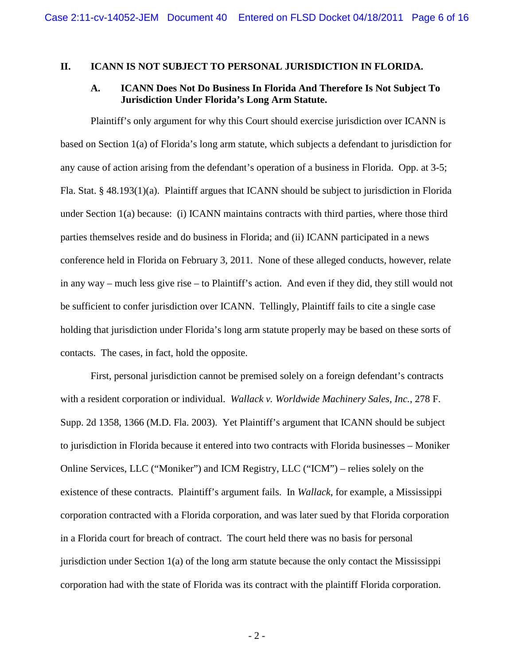#### **II. ICANN IS NOT SUBJECT TO PERSONAL JURISDICTION IN FLORIDA.**

## **A. ICANN Does Not Do Business In Florida And Therefore Is Not Subject To Jurisdiction Under Florida's Long Arm Statute.**

Plaintiff's only argument for why this Court should exercise jurisdiction over ICANN is based on Section 1(a) of Florida's long arm statute, which subjects a defendant to jurisdiction for any cause of action arising from the defendant's operation of a business in Florida. Opp. at 3-5; Fla. Stat. § 48.193(1)(a). Plaintiff argues that ICANN should be subject to jurisdiction in Florida under Section 1(a) because: (i) ICANN maintains contracts with third parties, where those third parties themselves reside and do business in Florida; and (ii) ICANN participated in a news conference held in Florida on February 3, 2011. None of these alleged conducts, however, relate in any way – much less give rise – to Plaintiff's action. And even if they did, they still would not be sufficient to confer jurisdiction over ICANN. Tellingly, Plaintiff fails to cite a single case holding that jurisdiction under Florida's long arm statute properly may be based on these sorts of contacts. The cases, in fact, hold the opposite.

First, personal jurisdiction cannot be premised solely on a foreign defendant's contracts with a resident corporation or individual. *Wallack v. Worldwide Machinery Sales, Inc.*, 278 F. Supp. 2d 1358, 1366 (M.D. Fla. 2003). Yet Plaintiff's argument that ICANN should be subject to jurisdiction in Florida because it entered into two contracts with Florida businesses – Moniker Online Services, LLC ("Moniker") and ICM Registry, LLC ("ICM") – relies solely on the existence of these contracts. Plaintiff's argument fails. In *Wallack*, for example, a Mississippi corporation contracted with a Florida corporation, and was later sued by that Florida corporation in a Florida court for breach of contract. The court held there was no basis for personal jurisdiction under Section 1(a) of the long arm statute because the only contact the Mississippi corporation had with the state of Florida was its contract with the plaintiff Florida corporation.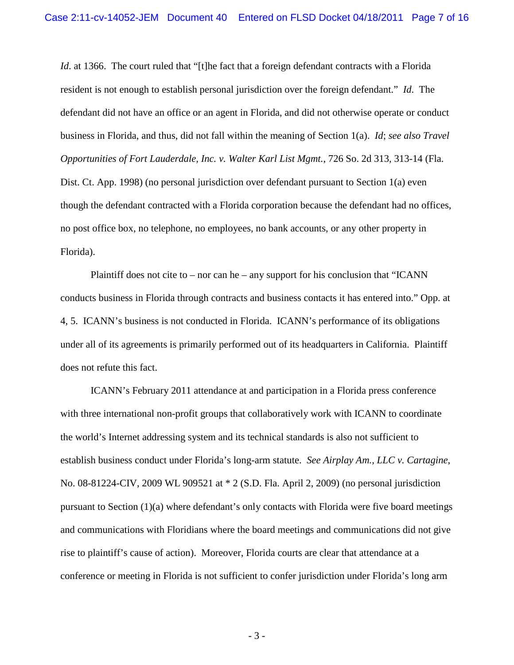*Id.* at 1366. The court ruled that "[t]he fact that a foreign defendant contracts with a Florida resident is not enough to establish personal jurisdiction over the foreign defendant." *Id*. The defendant did not have an office or an agent in Florida, and did not otherwise operate or conduct business in Florida, and thus, did not fall within the meaning of Section 1(a). *Id*; *see also Travel Opportunities of Fort Lauderdale, Inc. v. Walter Karl List Mgmt.*, 726 So. 2d 313, 313-14 (Fla. Dist. Ct. App. 1998) (no personal jurisdiction over defendant pursuant to Section 1(a) even though the defendant contracted with a Florida corporation because the defendant had no offices, no post office box, no telephone, no employees, no bank accounts, or any other property in Florida).

Plaintiff does not cite to – nor can he – any support for his conclusion that "ICANN" conducts business in Florida through contracts and business contacts it has entered into." Opp. at 4, 5. ICANN's business is not conducted in Florida. ICANN's performance of its obligations under all of its agreements is primarily performed out of its headquarters in California. Plaintiff does not refute this fact.

ICANN's February 2011 attendance at and participation in a Florida press conference with three international non-profit groups that collaboratively work with ICANN to coordinate the world's Internet addressing system and its technical standards is also not sufficient to establish business conduct under Florida's long-arm statute. *See Airplay Am., LLC v. Cartagine*, No. 08-81224-CIV, 2009 WL 909521 at \* 2 (S.D. Fla. April 2, 2009) (no personal jurisdiction pursuant to Section (1)(a) where defendant's only contacts with Florida were five board meetings and communications with Floridians where the board meetings and communications did not give rise to plaintiff's cause of action). Moreover, Florida courts are clear that attendance at a conference or meeting in Florida is not sufficient to confer jurisdiction under Florida's long arm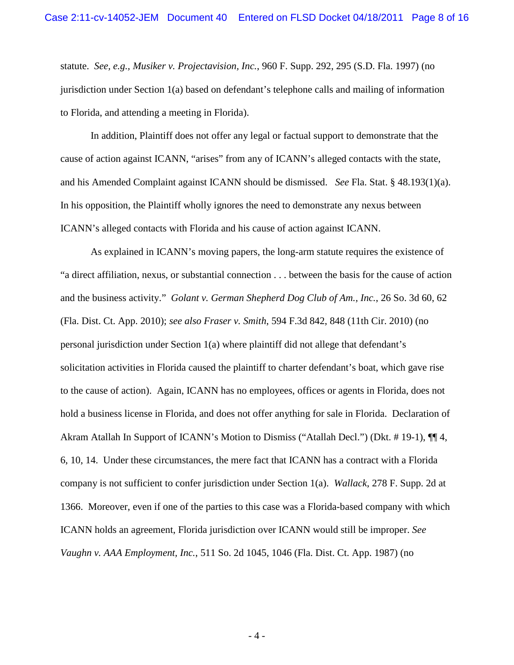statute. *See, e.g., Musiker v. Projectavision, Inc.*, 960 F. Supp. 292, 295 (S.D. Fla. 1997) (no jurisdiction under Section 1(a) based on defendant's telephone calls and mailing of information to Florida, and attending a meeting in Florida).

In addition, Plaintiff does not offer any legal or factual support to demonstrate that the cause of action against ICANN, "arises" from any of ICANN's alleged contacts with the state, and his Amended Complaint against ICANN should be dismissed. *See* Fla. Stat. § 48.193(1)(a). In his opposition, the Plaintiff wholly ignores the need to demonstrate any nexus between ICANN's alleged contacts with Florida and his cause of action against ICANN.

As explained in ICANN's moving papers, the long-arm statute requires the existence of "a direct affiliation, nexus, or substantial connection . . . between the basis for the cause of action and the business activity." *Golant v. German Shepherd Dog Club of Am., Inc.*, 26 So. 3d 60, 62 (Fla. Dist. Ct. App. 2010); *see also Fraser v. Smith*, 594 F.3d 842, 848 (11th Cir. 2010) (no personal jurisdiction under Section 1(a) where plaintiff did not allege that defendant's solicitation activities in Florida caused the plaintiff to charter defendant's boat, which gave rise to the cause of action). Again, ICANN has no employees, offices or agents in Florida, does not hold a business license in Florida, and does not offer anything for sale in Florida. Declaration of Akram Atallah In Support of ICANN's Motion to Dismiss ("Atallah Decl.") (Dkt. # 19-1), ¶¶ 4, 6, 10, 14. Under these circumstances, the mere fact that ICANN has a contract with a Florida company is not sufficient to confer jurisdiction under Section 1(a). *Wallack*, 278 F. Supp. 2d at 1366. Moreover, even if one of the parties to this case was a Florida-based company with which ICANN holds an agreement, Florida jurisdiction over ICANN would still be improper. *See Vaughn v. AAA Employment, Inc.*, 511 So. 2d 1045, 1046 (Fla. Dist. Ct. App. 1987) (no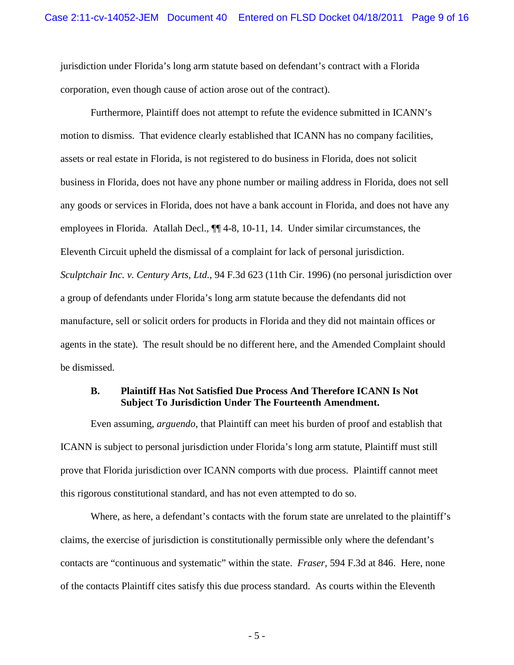jurisdiction under Florida's long arm statute based on defendant's contract with a Florida corporation, even though cause of action arose out of the contract).

Furthermore, Plaintiff does not attempt to refute the evidence submitted in ICANN's motion to dismiss. That evidence clearly established that ICANN has no company facilities, assets or real estate in Florida, is not registered to do business in Florida, does not solicit business in Florida, does not have any phone number or mailing address in Florida, does not sell any goods or services in Florida, does not have a bank account in Florida, and does not have any employees in Florida. Atallah Decl., ¶¶ 4-8, 10-11, 14. Under similar circumstances, the Eleventh Circuit upheld the dismissal of a complaint for lack of personal jurisdiction. *Sculptchair Inc. v. Century Arts, Ltd.*, 94 F.3d 623 (11th Cir. 1996) (no personal jurisdiction over a group of defendants under Florida's long arm statute because the defendants did not manufacture, sell or solicit orders for products in Florida and they did not maintain offices or agents in the state). The result should be no different here, and the Amended Complaint should be dismissed.

#### **B. Plaintiff Has Not Satisfied Due Process And Therefore ICANN Is Not Subject To Jurisdiction Under The Fourteenth Amendment.**

Even assuming, *arguendo*, that Plaintiff can meet his burden of proof and establish that ICANN is subject to personal jurisdiction under Florida's long arm statute, Plaintiff must still prove that Florida jurisdiction over ICANN comports with due process. Plaintiff cannot meet this rigorous constitutional standard, and has not even attempted to do so.

Where, as here, a defendant's contacts with the forum state are unrelated to the plaintiff's claims, the exercise of jurisdiction is constitutionally permissible only where the defendant's contacts are "continuous and systematic" within the state. *Fraser*, 594 F.3d at 846. Here, none of the contacts Plaintiff cites satisfy this due process standard. As courts within the Eleventh

- 5 -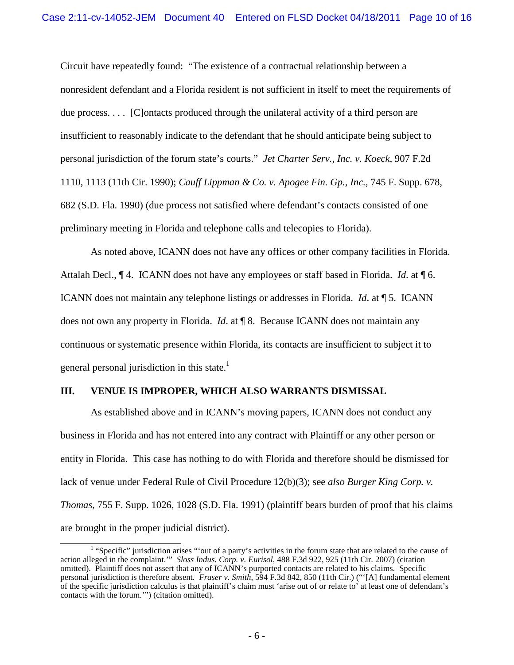Circuit have repeatedly found: "The existence of a contractual relationship between a nonresident defendant and a Florida resident is not sufficient in itself to meet the requirements of due process. . . . [C]ontacts produced through the unilateral activity of a third person are insufficient to reasonably indicate to the defendant that he should anticipate being subject to personal jurisdiction of the forum state's courts." *Jet Charter Serv., Inc. v. Koeck*, 907 F.2d 1110, 1113 (11th Cir. 1990); *Cauff Lippman & Co. v. Apogee Fin. Gp., Inc.*, 745 F. Supp. 678, 682 (S.D. Fla. 1990) (due process not satisfied where defendant's contacts consisted of one preliminary meeting in Florida and telephone calls and telecopies to Florida).

As noted above, ICANN does not have any offices or other company facilities in Florida. Attalah Decl., ¶ 4. ICANN does not have any employees or staff based in Florida. *Id*. at ¶ 6. ICANN does not maintain any telephone listings or addresses in Florida. *Id*. at ¶ 5. ICANN does not own any property in Florida. *Id*. at ¶ 8. Because ICANN does not maintain any continuous or systematic presence within Florida, its contacts are insufficient to subject it to general personal jurisdiction in this state.<sup>1</sup>

#### **III. VENUE IS IMPROPER, WHICH ALSO WARRANTS DISMISSAL**

As established above and in ICANN's moving papers, ICANN does not conduct any business in Florida and has not entered into any contract with Plaintiff or any other person or entity in Florida. This case has nothing to do with Florida and therefore should be dismissed for lack of venue under Federal Rule of Civil Procedure 12(b)(3); see *also Burger King Corp. v. Thomas*, 755 F. Supp. 1026, 1028 (S.D. Fla. 1991) (plaintiff bears burden of proof that his claims are brought in the proper judicial district).

 $<sup>1</sup>$  "Specific" jurisdiction arises "'out of a party's activities in the forum state that are related to the cause of</sup> action alleged in the complaint.'" *Sloss Indus. Corp. v. Eurisol*, 488 F.3d 922, 925 (11th Cir. 2007) (citation omitted). Plaintiff does not assert that any of ICANN's purported contacts are related to his claims. Specific personal jurisdiction is therefore absent. *Fraser v. Smith*, 594 F.3d 842, 850 (11th Cir.) ("'[A] fundamental element of the specific jurisdiction calculus is that plaintiff's claim must 'arise out of or relate to' at least one of defendant's contacts with the forum.'") (citation omitted).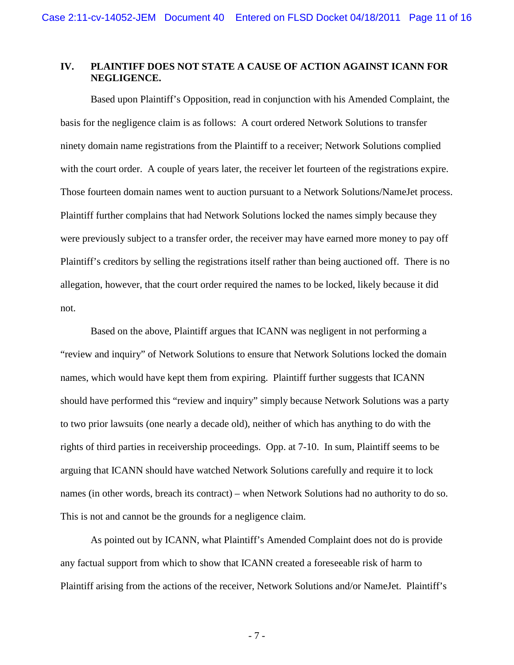## **IV. PLAINTIFF DOES NOT STATE A CAUSE OF ACTION AGAINST ICANN FOR NEGLIGENCE.**

Based upon Plaintiff's Opposition, read in conjunction with his Amended Complaint, the basis for the negligence claim is as follows: A court ordered Network Solutions to transfer ninety domain name registrations from the Plaintiff to a receiver; Network Solutions complied with the court order. A couple of years later, the receiver let fourteen of the registrations expire. Those fourteen domain names went to auction pursuant to a Network Solutions/NameJet process. Plaintiff further complains that had Network Solutions locked the names simply because they were previously subject to a transfer order, the receiver may have earned more money to pay off Plaintiff's creditors by selling the registrations itself rather than being auctioned off. There is no allegation, however, that the court order required the names to be locked, likely because it did not.

Based on the above, Plaintiff argues that ICANN was negligent in not performing a "review and inquiry" of Network Solutions to ensure that Network Solutions locked the domain names, which would have kept them from expiring. Plaintiff further suggests that ICANN should have performed this "review and inquiry" simply because Network Solutions was a party to two prior lawsuits (one nearly a decade old), neither of which has anything to do with the rights of third parties in receivership proceedings. Opp. at 7-10. In sum, Plaintiff seems to be arguing that ICANN should have watched Network Solutions carefully and require it to lock names (in other words, breach its contract) – when Network Solutions had no authority to do so. This is not and cannot be the grounds for a negligence claim.

As pointed out by ICANN, what Plaintiff's Amended Complaint does not do is provide any factual support from which to show that ICANN created a foreseeable risk of harm to Plaintiff arising from the actions of the receiver, Network Solutions and/or NameJet. Plaintiff's

- 7 -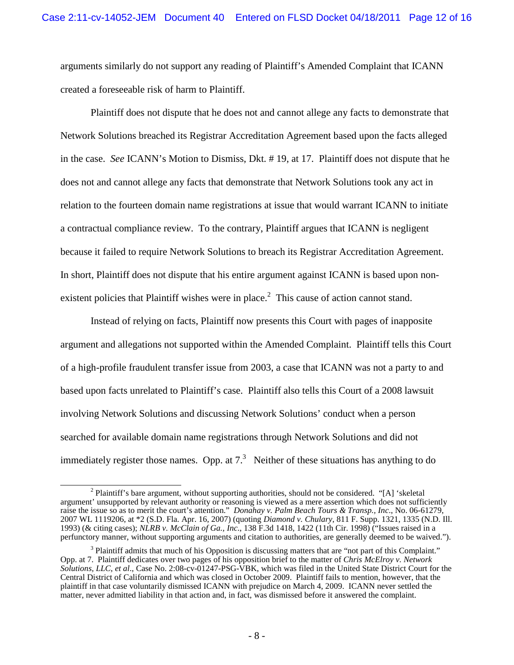arguments similarly do not support any reading of Plaintiff's Amended Complaint that ICANN created a foreseeable risk of harm to Plaintiff.

Plaintiff does not dispute that he does not and cannot allege any facts to demonstrate that Network Solutions breached its Registrar Accreditation Agreement based upon the facts alleged in the case. *See* ICANN's Motion to Dismiss, Dkt. # 19, at 17. Plaintiff does not dispute that he does not and cannot allege any facts that demonstrate that Network Solutions took any act in relation to the fourteen domain name registrations at issue that would warrant ICANN to initiate a contractual compliance review. To the contrary, Plaintiff argues that ICANN is negligent because it failed to require Network Solutions to breach its Registrar Accreditation Agreement. In short, Plaintiff does not dispute that his entire argument against ICANN is based upon nonexistent policies that Plaintiff wishes were in place.<sup>2</sup> This cause of action cannot stand.

Instead of relying on facts, Plaintiff now presents this Court with pages of inapposite argument and allegations not supported within the Amended Complaint. Plaintiff tells this Court of a high-profile fraudulent transfer issue from 2003, a case that ICANN was not a party to and based upon facts unrelated to Plaintiff's case. Plaintiff also tells this Court of a 2008 lawsuit involving Network Solutions and discussing Network Solutions' conduct when a person searched for available domain name registrations through Network Solutions and did not immediately register those names. Opp. at  $7<sup>3</sup>$  Neither of these situations has anything to do

<sup>&</sup>lt;sup>2</sup> Plaintiff's bare argument, without supporting authorities, should not be considered. "[A] 'skeletal argument' unsupported by relevant authority or reasoning is viewed as a mere assertion which does not sufficiently raise the issue so as to merit the court's attention." *Donahay v. Palm Beach Tours & Transp., Inc*., No. 06-61279, 2007 WL 1119206, at \*2 (S.D. Fla. Apr. 16, 2007) (quoting *Diamond v. Chulary*, 811 F. Supp. 1321, 1335 (N.D. Ill. 1993) (& citing cases); *NLRB v. McClain of Ga., Inc*., 138 F.3d 1418, 1422 (11th Cir. 1998) ("Issues raised in a perfunctory manner, without supporting arguments and citation to authorities, are generally deemed to be waived.").

<sup>&</sup>lt;sup>3</sup> Plaintiff admits that much of his Opposition is discussing matters that are "not part of this Complaint." Opp. at 7. Plaintiff dedicates over two pages of his opposition brief to the matter of *Chris McElroy v. Network Solutions, LLC, et al*., Case No. 2:08-cv-01247-PSG-VBK, which was filed in the United State District Court for the Central District of California and which was closed in October 2009. Plaintiff fails to mention, however, that the plaintiff in that case voluntarily dismissed ICANN with prejudice on March 4, 2009. ICANN never settled the matter, never admitted liability in that action and, in fact, was dismissed before it answered the complaint.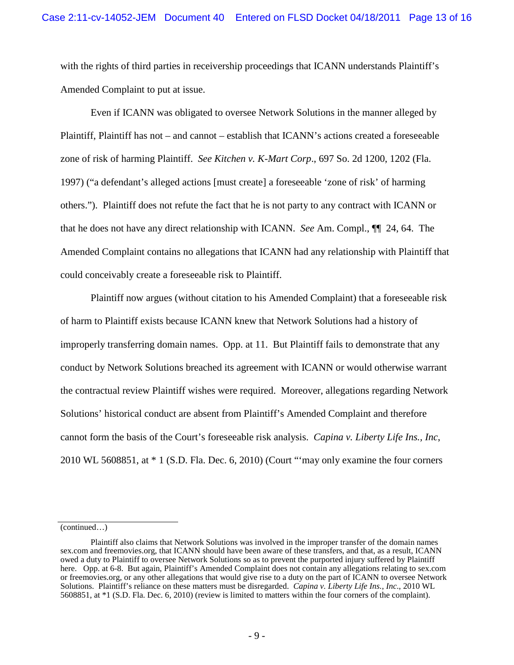with the rights of third parties in receivership proceedings that ICANN understands Plaintiff's Amended Complaint to put at issue.

Even if ICANN was obligated to oversee Network Solutions in the manner alleged by Plaintiff, Plaintiff has not – and cannot – establish that ICANN's actions created a foreseeable zone of risk of harming Plaintiff. *See Kitchen v. K-Mart Corp*., 697 So. 2d 1200, 1202 (Fla. 1997) ("a defendant's alleged actions [must create] a foreseeable 'zone of risk' of harming others."). Plaintiff does not refute the fact that he is not party to any contract with ICANN or that he does not have any direct relationship with ICANN. *See* Am. Compl., ¶¶ 24, 64. The Amended Complaint contains no allegations that ICANN had any relationship with Plaintiff that could conceivably create a foreseeable risk to Plaintiff.

Plaintiff now argues (without citation to his Amended Complaint) that a foreseeable risk of harm to Plaintiff exists because ICANN knew that Network Solutions had a history of improperly transferring domain names. Opp. at 11. But Plaintiff fails to demonstrate that any conduct by Network Solutions breached its agreement with ICANN or would otherwise warrant the contractual review Plaintiff wishes were required. Moreover, allegations regarding Network Solutions' historical conduct are absent from Plaintiff's Amended Complaint and therefore cannot form the basis of the Court's foreseeable risk analysis. *Capina v. Liberty Life Ins., Inc*, 2010 WL 5608851, at \* 1 (S.D. Fla. Dec. 6, 2010) (Court "'may only examine the four corners

<sup>(</sup>continued…)

Plaintiff also claims that Network Solutions was involved in the improper transfer of the domain names sex.com and freemovies.org, that ICANN should have been aware of these transfers, and that, as a result, ICANN owed a duty to Plaintiff to oversee Network Solutions so as to prevent the purported injury suffered by Plaintiff here. Opp. at 6-8. But again, Plaintiff's Amended Complaint does not contain any allegations relating to sex.com or freemovies.org, or any other allegations that would give rise to a duty on the part of ICANN to oversee Network Solutions. Plaintiff's reliance on these matters must be disregarded. *Capina v. Liberty Life Ins., Inc*., 2010 WL 5608851, at \*1 (S.D. Fla. Dec. 6, 2010) (review is limited to matters within the four corners of the complaint).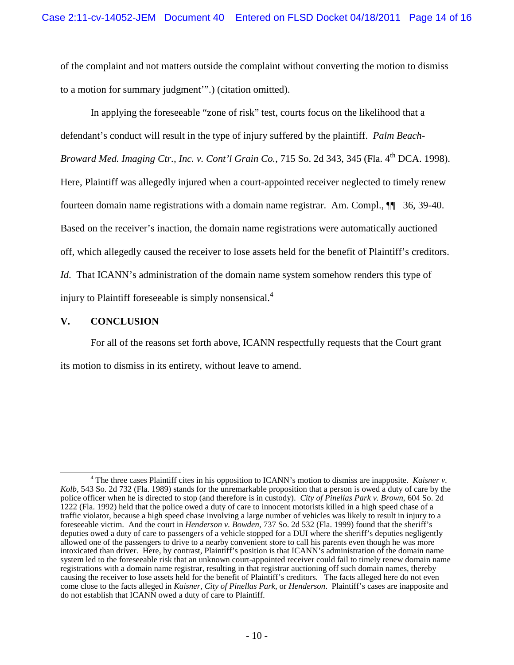of the complaint and not matters outside the complaint without converting the motion to dismiss to a motion for summary judgment'".) (citation omitted).

In applying the foreseeable "zone of risk" test, courts focus on the likelihood that a defendant's conduct will result in the type of injury suffered by the plaintiff. *Palm Beach-*Broward Med. Imaging Ctr., Inc. v. Cont'l Grain Co., 715 So. 2d 343, 345 (Fla. 4<sup>th</sup> DCA. 1998). Here, Plaintiff was allegedly injured when a court-appointed receiver neglected to timely renew fourteen domain name registrations with a domain name registrar. Am. Compl., ¶¶ 36, 39-40. Based on the receiver's inaction, the domain name registrations were automatically auctioned off, which allegedly caused the receiver to lose assets held for the benefit of Plaintiff's creditors. *Id*. That ICANN's administration of the domain name system somehow renders this type of injury to Plaintiff foreseeable is simply nonsensical.<sup>4</sup>

#### **V. CONCLUSION**

For all of the reasons set forth above, ICANN respectfully requests that the Court grant its motion to dismiss in its entirety, without leave to amend.

<sup>4</sup> The three cases Plaintiff cites in his opposition to ICANN's motion to dismiss are inapposite. *Kaisner v. Kolb*, 543 So. 2d 732 (Fla. 1989) stands for the unremarkable proposition that a person is owed a duty of care by the police officer when he is directed to stop (and therefore is in custody). *City of Pinellas Park v. Brown*, 604 So. 2d 1222 (Fla. 1992) held that the police owed a duty of care to innocent motorists killed in a high speed chase of a traffic violator, because a high speed chase involving a large number of vehicles was likely to result in injury to a foreseeable victim. And the court in *Henderson v. Bowden*, 737 So. 2d 532 (Fla. 1999) found that the sheriff's deputies owed a duty of care to passengers of a vehicle stopped for a DUI where the sheriff's deputies negligently allowed one of the passengers to drive to a nearby convenient store to call his parents even though he was more intoxicated than driver. Here, by contrast, Plaintiff's position is that ICANN's administration of the domain name system led to the foreseeable risk that an unknown court-appointed receiver could fail to timely renew domain name registrations with a domain name registrar, resulting in that registrar auctioning off such domain names, thereby causing the receiver to lose assets held for the benefit of Plaintiff's creditors. The facts alleged here do not even come close to the facts alleged in *Kaisner*, *City of Pinellas Park*, or *Henderson*. Plaintiff's cases are inapposite and do not establish that ICANN owed a duty of care to Plaintiff.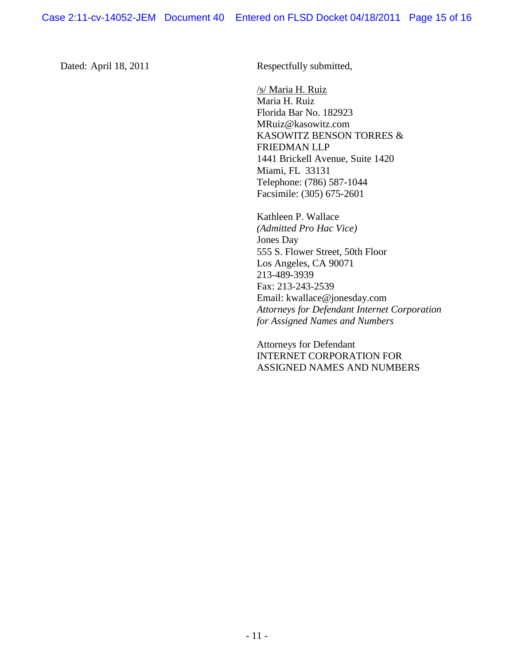Dated: April 18, 2011 Respectfully submitted,

/s/ Maria H. Ruiz Maria H. Ruiz Florida Bar No. 182923 MRuiz@kasowitz.com KASOWITZ BENSON TORRES & FRIEDMAN LLP 1441 Brickell Avenue, Suite 1420 Miami, FL 33131 Telephone: (786) 587-1044 Facsimile: (305) 675-2601

Kathleen P. Wallace *(Admitted Pro Hac Vice)* Jones Day 555 S. Flower Street, 50th Floor Los Angeles, CA 90071 213-489-3939 Fax: 213-243-2539 Email: kwallace@jonesday.com *Attorneys for Defendant Internet Corporation for Assigned Names and Numbers*

Attorneys for Defendant INTERNET CORPORATION FOR ASSIGNED NAMES AND NUMBERS